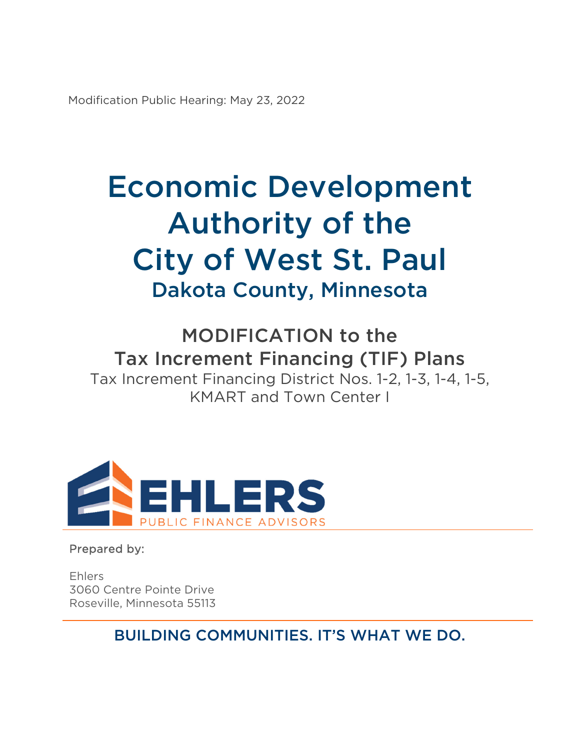Modification Public Hearing: May 23, 2022

# Economic Development Authority of the City of West St. Paul Dakota County, Minnesota

MODIFICATION to the Tax Increment Financing (TIF) Plans Tax Increment Financing District Nos. 1-2, 1-3, 1-4, 1-5, KMART and Town Center I



Prepared by:

Ehlers 3060 Centre Pointe Drive Roseville, Minnesota 55113

BUILDING COMMUNITIES. IT'S WHAT WE DO.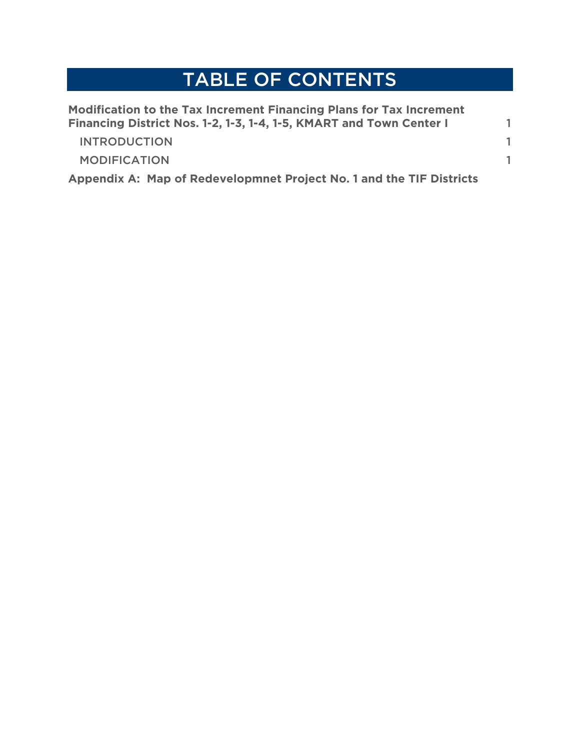## TABLE OF CONTENTS

| Modification to the Tax Increment Financing Plans for Tax Increment<br>Financing District Nos. 1-2, 1-3, 1-4, 1-5, KMART and Town Center I |  |
|--------------------------------------------------------------------------------------------------------------------------------------------|--|
| <b>INTRODUCTION</b>                                                                                                                        |  |
| <b>MODIFICATION</b>                                                                                                                        |  |
| Appendix A: Map of Redevelopmnet Project No. 1 and the TIF Districts                                                                       |  |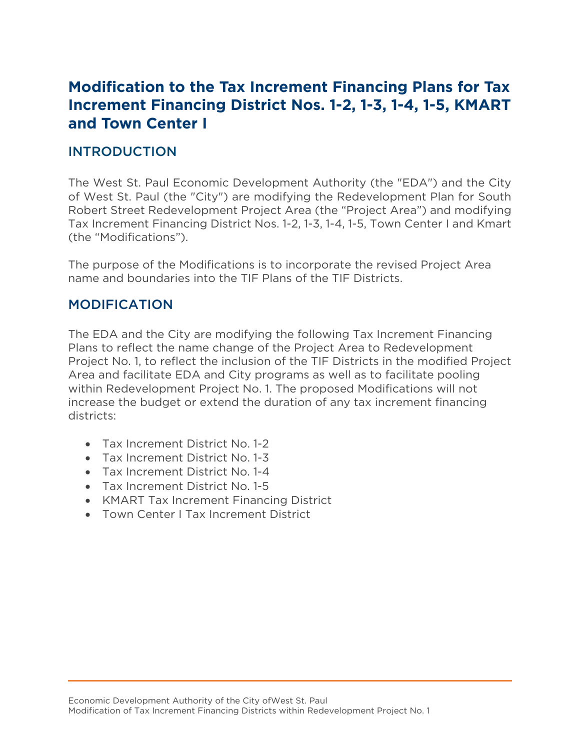### **Modification to the Tax Increment Financing Plans for Tax Increment Financing District Nos. 1-2, 1-3, 1-4, 1-5, KMART and Town Center I**

#### INTRODUCTION

The West St. Paul Economic Development Authority (the "EDA") and the City of West St. Paul (the "City") are modifying the Redevelopment Plan for South Robert Street Redevelopment Project Area (the "Project Area") and modifying Tax Increment Financing District Nos. 1-2, 1-3, 1-4, 1-5, Town Center I and Kmart (the "Modifications").

The purpose of the Modifications is to incorporate the revised Project Area name and boundaries into the TIF Plans of the TIF Districts.

#### MODIFICATION

The EDA and the City are modifying the following Tax Increment Financing Plans to reflect the name change of the Project Area to Redevelopment Project No. 1, to reflect the inclusion of the TIF Districts in the modified Project Area and facilitate EDA and City programs as well as to facilitate pooling within Redevelopment Project No. 1. The proposed Modifications will not increase the budget or extend the duration of any tax increment financing districts:

- Tax Increment District No. 1-2
- Tax Increment District No. 1-3
- Tax Increment District No. 1-4
- Tax Increment District No. 1-5
- KMART Tax Increment Financing District
- Town Center I Tax Increment District